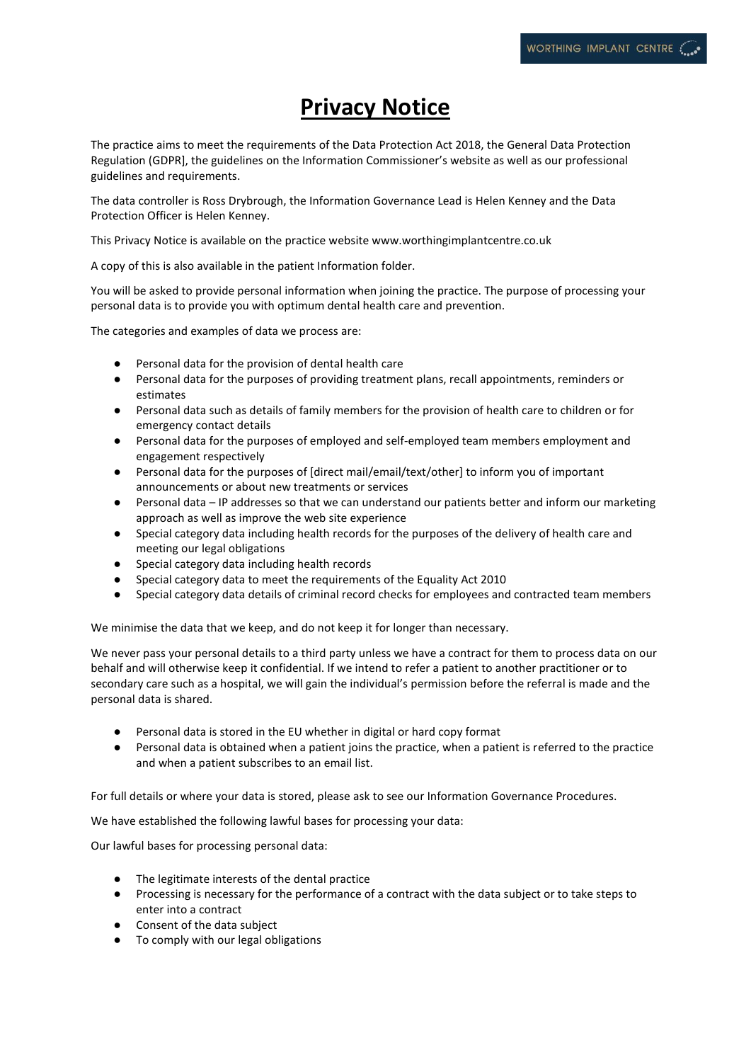## **Privacy Notice**

The practice aims to meet the requirements of the Data Protection Act 2018, the General Data Protection Regulation (GDPR], the guidelines on the Information Commissioner's website as well as our professional guidelines and requirements.

The data controller is Ross Drybrough, the Information Governance Lead is Helen Kenney and the Data Protection Officer is Helen Kenney.

This Privacy Notice is available on the practice website www.worthingimplantcentre.co.uk

A copy of this is also available in the patient Information folder.

You will be asked to provide personal information when joining the practice. The purpose of processing your personal data is to provide you with optimum dental health care and prevention.

The categories and examples of data we process are:

- Personal data for the provision of dental health care
- Personal data for the purposes of providing treatment plans, recall appointments, reminders or estimates
- Personal data such as details of family members for the provision of health care to children or for emergency contact details
- Personal data for the purposes of employed and self-employed team members employment and engagement respectively
- Personal data for the purposes of [direct mail/email/text/other] to inform you of important announcements or about new treatments or services
- Personal data IP addresses so that we can understand our patients better and inform our marketing approach as well as improve the web site experience
- Special category data including health records for the purposes of the delivery of health care and meeting our legal obligations
- Special category data including health records
- Special category data to meet the requirements of the Equality Act 2010
- Special category data details of criminal record checks for employees and contracted team members

We minimise the data that we keep, and do not keep it for longer than necessary.

We never pass your personal details to a third party unless we have a contract for them to process data on our behalf and will otherwise keep it confidential. If we intend to refer a patient to another practitioner or to secondary care such as a hospital, we will gain the individual's permission before the referral is made and the personal data is shared.

- Personal data is stored in the EU whether in digital or hard copy format
- Personal data is obtained when a patient joins the practice, when a patient is referred to the practice and when a patient subscribes to an email list.

For full details or where your data is stored, please ask to see our Information Governance Procedures.

We have established the following lawful bases for processing your data:

Our lawful bases for processing personal data:

- The legitimate interests of the dental practice
- Processing is necessary for the performance of a contract with the data subject or to take steps to enter into a contract
- Consent of the data subject
- To comply with our legal obligations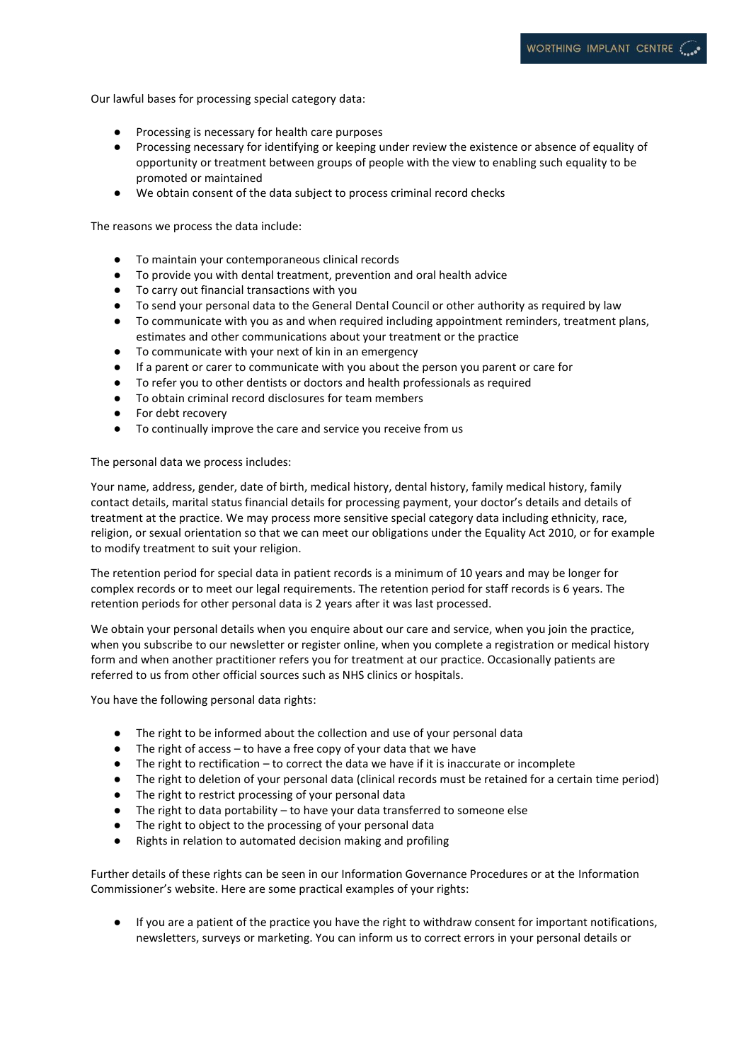Our lawful bases for processing special category data:

- Processing is necessary for health care purposes
- Processing necessary for identifying or keeping under review the existence or absence of equality of opportunity or treatment between groups of people with the view to enabling such equality to be promoted or maintained
- We obtain consent of the data subject to process criminal record checks

The reasons we process the data include:

- To maintain your contemporaneous clinical records
- To provide you with dental treatment, prevention and oral health advice
- To carry out financial transactions with you
- To send your personal data to the General Dental Council or other authority as required by law
- To communicate with you as and when required including appointment reminders, treatment plans, estimates and other communications about your treatment or the practice
- To communicate with your next of kin in an emergency
- If a parent or carer to communicate with you about the person you parent or care for
- To refer you to other dentists or doctors and health professionals as required
- To obtain criminal record disclosures for team members
- For debt recovery
- To continually improve the care and service you receive from us

## The personal data we process includes:

Your name, address, gender, date of birth, medical history, dental history, family medical history, family contact details, marital status financial details for processing payment, your doctor's details and details of treatment at the practice. We may process more sensitive special category data including ethnicity, race, religion, or sexual orientation so that we can meet our obligations under the Equality Act 2010, or for example to modify treatment to suit your religion.

The retention period for special data in patient records is a minimum of 10 years and may be longer for complex records or to meet our legal requirements. The retention period for staff records is 6 years. The retention periods for other personal data is 2 years after it was last processed.

We obtain your personal details when you enquire about our care and service, when you join the practice, when you subscribe to our newsletter or register online, when you complete a registration or medical history form and when another practitioner refers you for treatment at our practice. Occasionally patients are referred to us from other official sources such as NHS clinics or hospitals.

You have the following personal data rights:

- The right to be informed about the collection and use of your personal data
- The right of access to have a free copy of your data that we have
- The right to rectification to correct the data we have if it is inaccurate or incomplete
- The right to deletion of your personal data (clinical records must be retained for a certain time period)
- The right to restrict processing of your personal data
- The right to data portability to have your data transferred to someone else
- The right to object to the processing of your personal data
- Rights in relation to automated decision making and profiling

Further details of these rights can be seen in our Information Governance Procedures or at the [Information](https://ico.org.uk/for-organisations/guide-to-the-general-data-protection-regulation-gdpr/individual-rights/)  [Commissioner's website](https://ico.org.uk/for-organisations/guide-to-the-general-data-protection-regulation-gdpr/individual-rights/). Here are some practical examples of your rights:

● If you are a patient of the practice you have the right to withdraw consent for important notifications, newsletters, surveys or marketing. You can inform us to correct errors in your personal details or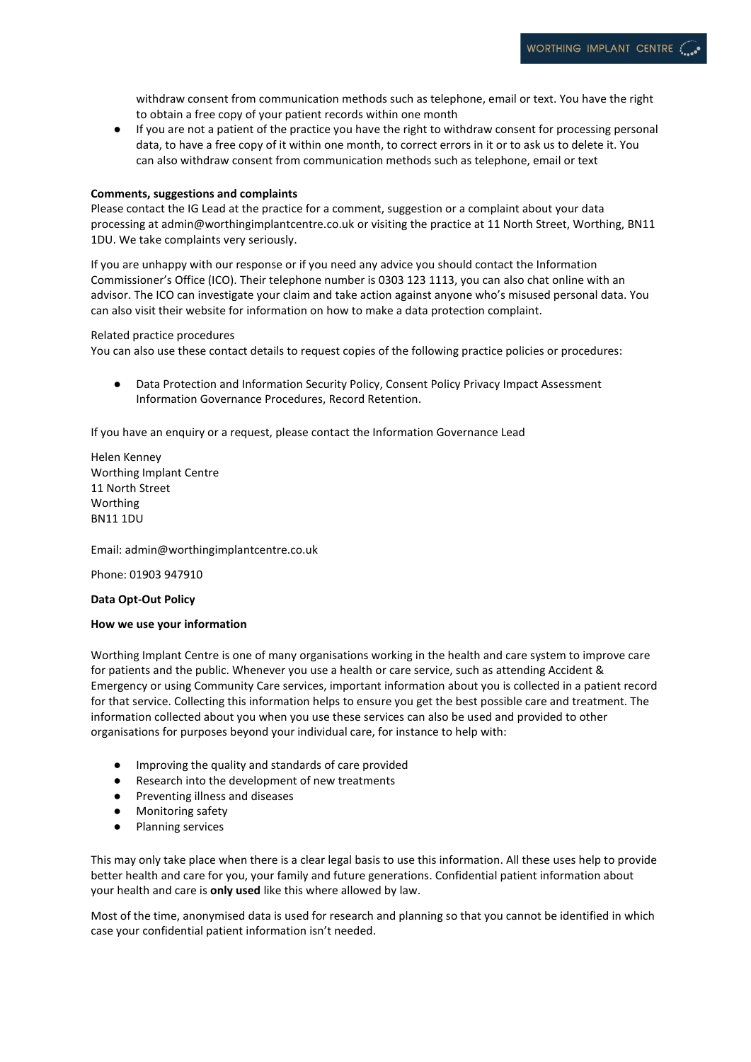withdraw consent from communication methods such as telephone, email or text. You have the right to obtain a free copy of your patient records within one month

● If you are not a patient of the practice you have the right to withdraw consent for processing personal data, to have a free copy of it within one month, to correct errors in it or to ask us to delete it. You can also withdraw consent from communication methods such as telephone, email or text

## **Comments, suggestions and complaints**

Please contact the IG Lead at the practice for a comment, suggestion or a complaint about your data processing at [admin@worthingimplantcentre.co.uk](mailto:admin@worthingimplantcentre.co.uk) or visiting the practice at 11 North Street, Worthing, BN11 1DU. We take complaints very seriously.

If you are unhappy with our response or if you need any advice you should contact the Information Commissioner's Office (ICO). Their telephone number is 0303 123 1113, you can also [chat online with an](https://ico.org.uk/global/contact-us/live-chat/)  [advisor.](https://ico.org.uk/global/contact-us/live-chat/) The ICO can investigate your claim and take action against anyone who's misused personal data. You can also visit their website for information on [how to make a data protection complaint.](http://www.ico.org.uk/complaints)

Related practice procedures

You can also use these contact details to request copies of the following practice policies or procedures:

● Data Protection and Information Security Policy, Consent Policy Privacy Impact Assessment Information Governance Procedures, Record Retention.

If you have an enquiry or a request, please contact the Information Governance Lead

Helen Kenney Worthing Implant Centre 11 North Street Worthing BN11 1DU

Email: admin@worthingimplantcentre.co.uk

Phone: 01903 947910

**Data Opt-Out Policy**

## **How we use your information**

Worthing Implant Centre is one of many organisations working in the health and care system to improve care for patients and the public. Whenever you use a health or care service, such as attending Accident & Emergency or using Community Care services, important information about you is collected in a patient record for that service. Collecting this information helps to ensure you get the best possible care and treatment. The information collected about you when you use these services can also be used and provided to other organisations for purposes beyond your individual care, for instance to help with:

- Improving the quality and standards of care provided
- Research into the development of new treatments
- Preventing illness and diseases
- Monitoring safety
- Planning services

This may only take place when there is a clear legal basis to use this information. All these uses help to provide better health and care for you, your family and future generations. Confidential patient information about your health and care is **only used** like this where allowed by law.

Most of the time, anonymised data is used for research and planning so that you cannot be identified in which case your confidential patient information isn't needed.